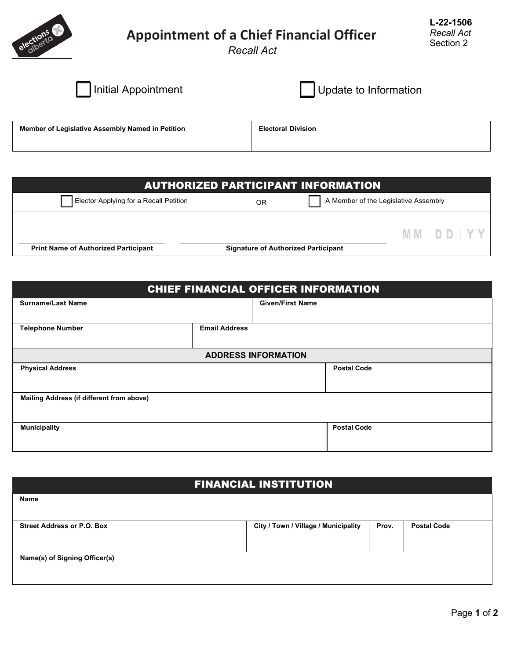

## **Appointment of a Chief Financial Officer**

*Recall Act* 

**L-22-1506** *Recall Act* Section 2

| I Initial Appointment                            | Update to Information     |
|--------------------------------------------------|---------------------------|
| Member of Legislative Assembly Named in Petition | <b>Electoral Division</b> |

| <b>AUTHORIZED PARTICIPANT INFORMATION</b>   |                                            |                                      |  |  |  |
|---------------------------------------------|--------------------------------------------|--------------------------------------|--|--|--|
| Elector Applying for a Recall Petition      | OR                                         | A Member of the Legislative Assembly |  |  |  |
| <b>Print Name of Authorized Participant</b> | <b>Signature of Authorized Participant</b> | <b>MMIDDIYY</b>                      |  |  |  |

| <b>CHIEF FINANCIAL OFFICER INFORMATION</b> |                      |                         |                    |
|--------------------------------------------|----------------------|-------------------------|--------------------|
| <b>Surname/Last Name</b>                   |                      | <b>Given/First Name</b> |                    |
|                                            |                      |                         |                    |
| <b>Telephone Number</b>                    | <b>Email Address</b> |                         |                    |
|                                            |                      |                         |                    |
| <b>ADDRESS INFORMATION</b>                 |                      |                         |                    |
| <b>Physical Address</b>                    |                      |                         | <b>Postal Code</b> |
|                                            |                      |                         |                    |
| Mailing Address (if different from above)  |                      |                         |                    |
|                                            |                      |                         |                    |
| <b>Municipality</b>                        |                      |                         | <b>Postal Code</b> |
|                                            |                      |                         |                    |
|                                            |                      |                         |                    |

| <b>FINANCIAL INSTITUTION</b>      |                                      |       |                    |  |  |
|-----------------------------------|--------------------------------------|-------|--------------------|--|--|
| Name                              |                                      |       |                    |  |  |
|                                   |                                      |       |                    |  |  |
| <b>Street Address or P.O. Box</b> | City / Town / Village / Municipality | Prov. | <b>Postal Code</b> |  |  |
|                                   |                                      |       |                    |  |  |
| Name(s) of Signing Officer(s)     |                                      |       |                    |  |  |
|                                   |                                      |       |                    |  |  |